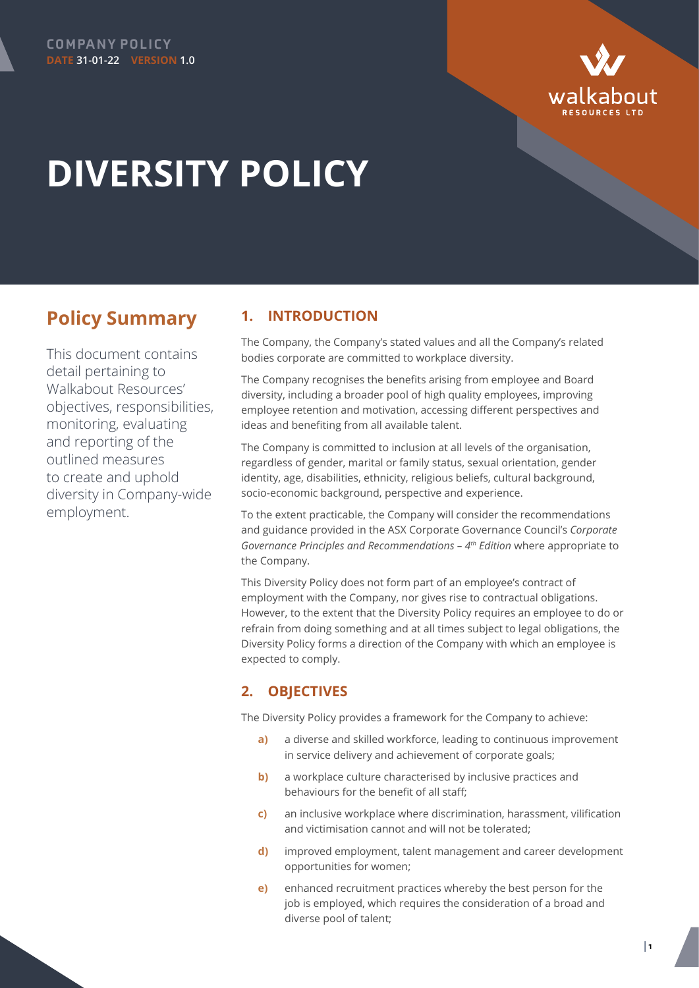



# **DIVERSITY POLICY**

## **Policy Summary**

This document contains detail pertaining to Walkabout Resources' objectives, responsibilities, monitoring, evaluating and reporting of the outlined measures to create and uphold diversity in Company-wide employment.

## **1. INTRODUCTION**

The Company, the Company's stated values and all the Company's related bodies corporate are committed to workplace diversity.

The Company recognises the benefits arising from employee and Board diversity, including a broader pool of high quality employees, improving employee retention and motivation, accessing different perspectives and ideas and benefiting from all available talent.

The Company is committed to inclusion at all levels of the organisation, regardless of gender, marital or family status, sexual orientation, gender identity, age, disabilities, ethnicity, religious beliefs, cultural background, socio-economic background, perspective and experience.

To the extent practicable, the Company will consider the recommendations and guidance provided in the ASX Corporate Governance Council's *Corporate Governance Principles and Recommendations – 4th Edition* where appropriate to the Company.

This Diversity Policy does not form part of an employee's contract of employment with the Company, nor gives rise to contractual obligations. However, to the extent that the Diversity Policy requires an employee to do or refrain from doing something and at all times subject to legal obligations, the Diversity Policy forms a direction of the Company with which an employee is expected to comply.

## **2. OBJECTIVES**

The Diversity Policy provides a framework for the Company to achieve:

- **a)** a diverse and skilled workforce, leading to continuous improvement in service delivery and achievement of corporate goals;
- **b**) a workplace culture characterised by inclusive practices and behaviours for the benefit of all staff;
- **c)** an inclusive workplace where discrimination, harassment, vilification and victimisation cannot and will not be tolerated;
- **d)** improved employment, talent management and career development opportunities for women;
- **e)** enhanced recruitment practices whereby the best person for the job is employed, which requires the consideration of a broad and diverse pool of talent;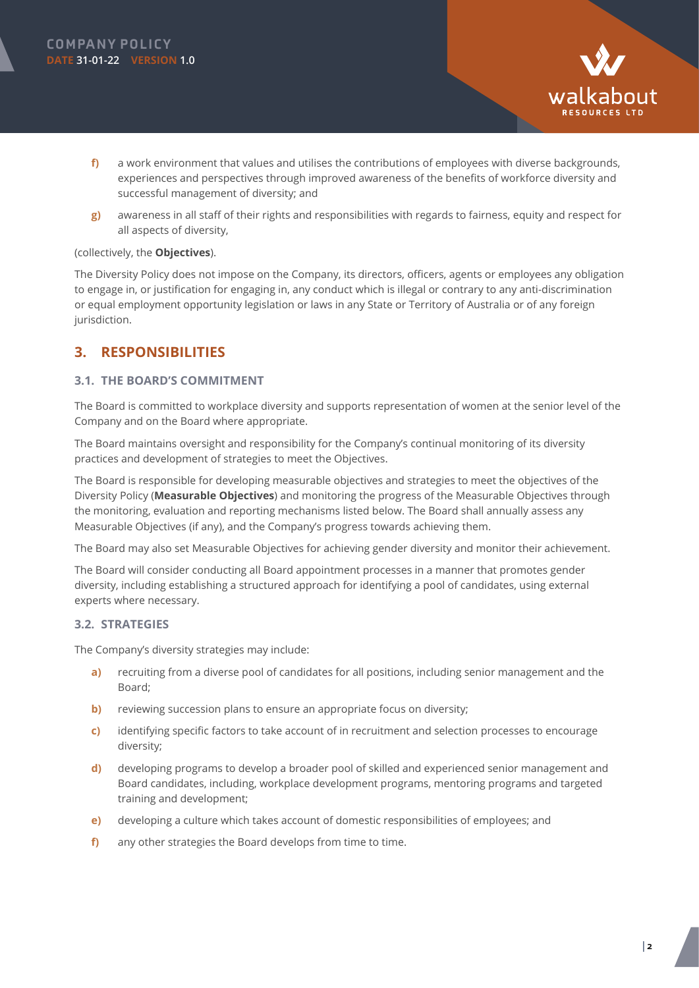

- **f)** a work environment that values and utilises the contributions of employees with diverse backgrounds, experiences and perspectives through improved awareness of the benefits of workforce diversity and successful management of diversity; and
- **g)** awareness in all staff of their rights and responsibilities with regards to fairness, equity and respect for all aspects of diversity,

#### (collectively, the **Objectives**).

The Diversity Policy does not impose on the Company, its directors, officers, agents or employees any obligation to engage in, or justification for engaging in, any conduct which is illegal or contrary to any anti-discrimination or equal employment opportunity legislation or laws in any State or Territory of Australia or of any foreign jurisdiction.

## **3. RESPONSIBILITIES**

#### **3.1. THE BOARD'S COMMITMENT**

The Board is committed to workplace diversity and supports representation of women at the senior level of the Company and on the Board where appropriate.

The Board maintains oversight and responsibility for the Company's continual monitoring of its diversity practices and development of strategies to meet the Objectives.

The Board is responsible for developing measurable objectives and strategies to meet the objectives of the Diversity Policy (**Measurable Objectives**) and monitoring the progress of the Measurable Objectives through the monitoring, evaluation and reporting mechanisms listed below. The Board shall annually assess any Measurable Objectives (if any), and the Company's progress towards achieving them.

The Board may also set Measurable Objectives for achieving gender diversity and monitor their achievement.

The Board will consider conducting all Board appointment processes in a manner that promotes gender diversity, including establishing a structured approach for identifying a pool of candidates, using external experts where necessary.

#### **3.2. STRATEGIES**

The Company's diversity strategies may include:

- **a)** recruiting from a diverse pool of candidates for all positions, including senior management and the Board;
- **b)** reviewing succession plans to ensure an appropriate focus on diversity;
- **c)** identifying specific factors to take account of in recruitment and selection processes to encourage diversity;
- **d)** developing programs to develop a broader pool of skilled and experienced senior management and Board candidates, including, workplace development programs, mentoring programs and targeted training and development;
- **e)** developing a culture which takes account of domestic responsibilities of employees; and
- **f)** any other strategies the Board develops from time to time.